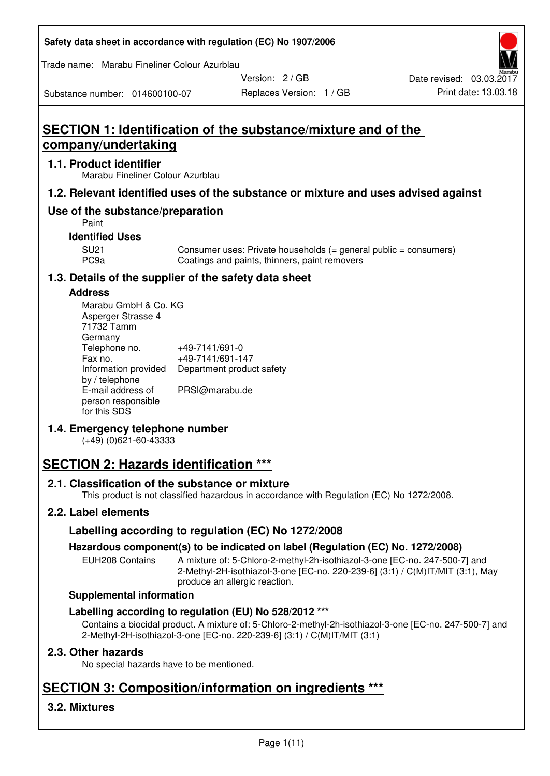| Safety data sheet in accordance with regulation (EC) No 1907/2006 |  |
|-------------------------------------------------------------------|--|
|-------------------------------------------------------------------|--|

Trade name: Marabu Fineliner Colour Azurblau

Version: 2 / GB

Replaces Version: 1 / GB Print date: 13.03.18 Date revised: 03.03.2017

Substance number: 014600100-07

# **SECTION 1: Identification of the substance/mixture and of the company/undertaking**

## **1.1. Product identifier**

Marabu Fineliner Colour Azurblau

# **1.2. Relevant identified uses of the substance or mixture and uses advised against**

# **Use of the substance/preparation**

Paint

## **Identified Uses**

SU21 Consumer uses: Private households (= general public = consumers)<br>PC9a Coatings and paints, thinners, paint removers Coatings and paints, thinners, paint removers

# **1.3. Details of the supplier of the safety data sheet**

# **Address**

| Marabu GmbH & Co. KG |                           |
|----------------------|---------------------------|
| Asperger Strasse 4   |                           |
| 71732 Tamm           |                           |
| Germany              |                           |
| Telephone no.        | +49-7141/691-0            |
| Fax no.              | +49-7141/691-147          |
| Information provided | Department product safety |
| by / telephone       |                           |
| E-mail address of    | PRSI@marabu.de            |
| person responsible   |                           |
| for this SDS         |                           |

# **1.4. Emergency telephone number**

(+49) (0)621-60-43333

# **SECTION 2: Hazards identification \*\*\***

# **2.1. Classification of the substance or mixture**

This product is not classified hazardous in accordance with Regulation (EC) No 1272/2008.

# **2.2. Label elements**

# **Labelling according to regulation (EC) No 1272/2008**

# **Hazardous component(s) to be indicated on label (Regulation (EC) No. 1272/2008)**

EUH208 Contains A mixture of: 5-Chloro-2-methyl-2h-isothiazol-3-one [EC-no. 247-500-7] and 2-Methyl-2H-isothiazol-3-one [EC-no. 220-239-6] (3:1) / C(M)IT/MIT (3:1), May produce an allergic reaction.

#### **Supplemental information**

# **Labelling according to regulation (EU) No 528/2012 \*\*\***

Contains a biocidal product. A mixture of: 5-Chloro-2-methyl-2h-isothiazol-3-one [EC-no. 247-500-7] and 2-Methyl-2H-isothiazol-3-one [EC-no. 220-239-6] (3:1) / C(M)IT/MIT (3:1)

# **2.3. Other hazards**

No special hazards have to be mentioned.

# **SECTION 3: Composition/information on ingredients \*\*\***

# **3.2. Mixtures**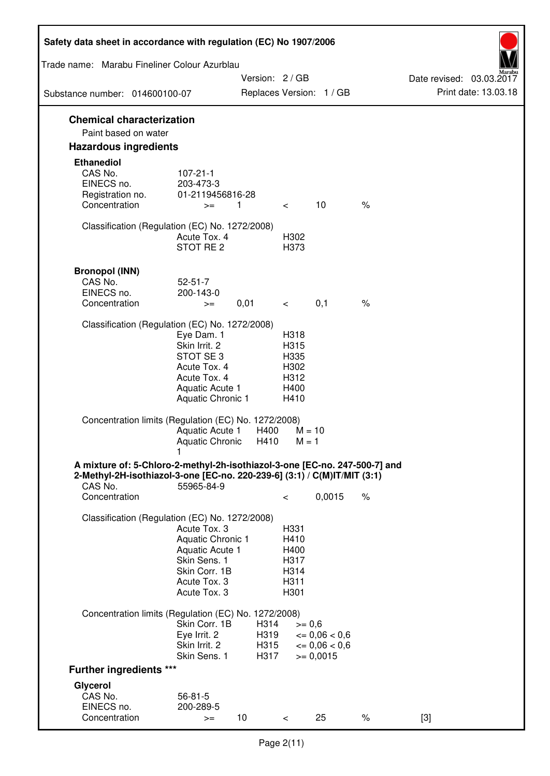| Safety data sheet in accordance with regulation (EC) No 1907/2006                                                                                                 |                                                                                                                       |                              |                                                      |                                                                         |      |                                                  |
|-------------------------------------------------------------------------------------------------------------------------------------------------------------------|-----------------------------------------------------------------------------------------------------------------------|------------------------------|------------------------------------------------------|-------------------------------------------------------------------------|------|--------------------------------------------------|
| Trade name: Marabu Fineliner Colour Azurblau                                                                                                                      |                                                                                                                       |                              |                                                      |                                                                         |      |                                                  |
| Substance number: 014600100-07                                                                                                                                    |                                                                                                                       |                              | Version: 2 / GB                                      | Replaces Version: 1 / GB                                                |      | Date revised: 03.03.2017<br>Print date: 13.03.18 |
|                                                                                                                                                                   |                                                                                                                       |                              |                                                      |                                                                         |      |                                                  |
| <b>Chemical characterization</b><br>Paint based on water                                                                                                          |                                                                                                                       |                              |                                                      |                                                                         |      |                                                  |
| <b>Hazardous ingredients</b>                                                                                                                                      |                                                                                                                       |                              |                                                      |                                                                         |      |                                                  |
| <b>Ethanediol</b><br>CAS No.<br>EINECS no.<br>Registration no.<br>Concentration                                                                                   | $107 - 21 - 1$<br>203-473-3<br>01-2119456816-28<br>$>=$                                                               | 1                            | $\lt$                                                | 10                                                                      | $\%$ |                                                  |
| Classification (Regulation (EC) No. 1272/2008)                                                                                                                    | Acute Tox. 4<br>STOT RE <sub>2</sub>                                                                                  |                              | H302<br>H373                                         |                                                                         |      |                                                  |
| <b>Bronopol (INN)</b><br>CAS No.<br>EINECS no.<br>Concentration                                                                                                   | $52 - 51 - 7$<br>200-143-0<br>$>=$                                                                                    | 0,01                         | $\lt$                                                | 0,1                                                                     | $\%$ |                                                  |
| Classification (Regulation (EC) No. 1272/2008)                                                                                                                    | Eye Dam. 1<br>Skin Irrit. 2                                                                                           |                              | H318<br>H315                                         |                                                                         |      |                                                  |
|                                                                                                                                                                   | STOT SE 3<br>Acute Tox. 4<br>Acute Tox. 4<br>Aquatic Acute 1<br>Aquatic Chronic 1                                     |                              | H335<br>H302<br>H312<br>H400<br>H410                 |                                                                         |      |                                                  |
| Concentration limits (Regulation (EC) No. 1272/2008)                                                                                                              | Aquatic Acute 1<br>Aquatic Chronic                                                                                    | H400<br>H410                 | $M = 1$                                              | $M = 10$                                                                |      |                                                  |
| A mixture of: 5-Chloro-2-methyl-2h-isothiazol-3-one [EC-no. 247-500-7] and<br>2-Methyl-2H-isothiazol-3-one [EC-no. 220-239-6] (3:1) / C(M)IT/MIT (3:1)<br>CAS No. | 55965-84-9                                                                                                            |                              |                                                      |                                                                         |      |                                                  |
| Concentration                                                                                                                                                     |                                                                                                                       |                              | $\,<\,$                                              | 0,0015                                                                  | $\%$ |                                                  |
| Classification (Regulation (EC) No. 1272/2008)                                                                                                                    | Acute Tox. 3<br>Aquatic Chronic 1<br>Aquatic Acute 1<br>Skin Sens. 1<br>Skin Corr. 1B<br>Acute Tox. 3<br>Acute Tox. 3 |                              | H331<br>H410<br>H400<br>H317<br>H314<br>H311<br>H301 |                                                                         |      |                                                  |
| Concentration limits (Regulation (EC) No. 1272/2008)                                                                                                              |                                                                                                                       |                              |                                                      |                                                                         |      |                                                  |
|                                                                                                                                                                   | Skin Corr. 1B<br>Eye Irrit. 2<br>Skin Irrit. 2<br>Skin Sens. 1                                                        | H314<br>H319<br>H315<br>H317 |                                                      | $>= 0,6$<br>$\epsilon = 0.06 < 0.6$<br>$\leq 0.06 < 0.6$<br>$>= 0,0015$ |      |                                                  |
| <b>Further ingredients ***</b>                                                                                                                                    |                                                                                                                       |                              |                                                      |                                                                         |      |                                                  |
| Glycerol<br>CAS No.<br>EINECS no.                                                                                                                                 | $56 - 81 - 5$<br>200-289-5                                                                                            |                              |                                                      |                                                                         |      |                                                  |
| Concentration                                                                                                                                                     | $>=$                                                                                                                  | 10                           | $\,<\,$                                              | 25                                                                      | $\%$ | $[3]$                                            |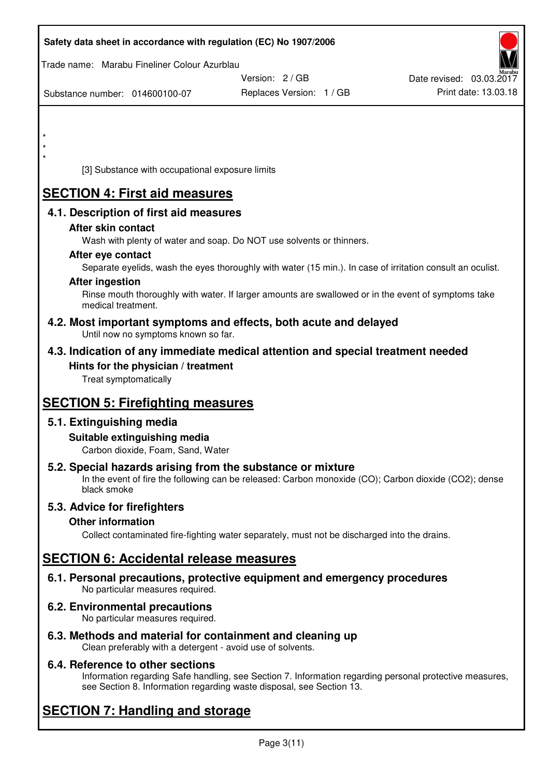|                        |                                                                    | Safety data sheet in accordance with regulation (EC) No 1907/2006                                          |                          |
|------------------------|--------------------------------------------------------------------|------------------------------------------------------------------------------------------------------------|--------------------------|
|                        | Trade name: Marabu Fineliner Colour Azurblau                       |                                                                                                            |                          |
|                        |                                                                    | Version: 2/GB                                                                                              | Date revised: 03.03.2017 |
|                        | Substance number: 014600100-07                                     | Replaces Version: 1 / GB                                                                                   | Print date: 13.03.18     |
|                        |                                                                    |                                                                                                            |                          |
|                        |                                                                    |                                                                                                            |                          |
|                        |                                                                    |                                                                                                            |                          |
| $\star$                |                                                                    |                                                                                                            |                          |
|                        | [3] Substance with occupational exposure limits                    |                                                                                                            |                          |
|                        | <b>SECTION 4: First aid measures</b>                               |                                                                                                            |                          |
|                        | 4.1. Description of first aid measures                             |                                                                                                            |                          |
|                        | After skin contact                                                 |                                                                                                            |                          |
|                        |                                                                    | Wash with plenty of water and soap. Do NOT use solvents or thinners.                                       |                          |
|                        | After eye contact                                                  |                                                                                                            |                          |
| <b>After ingestion</b> |                                                                    | Separate eyelids, wash the eyes thoroughly with water (15 min.). In case of irritation consult an oculist. |                          |
|                        |                                                                    | Rinse mouth thoroughly with water. If larger amounts are swallowed or in the event of symptoms take        |                          |
|                        | medical treatment.                                                 |                                                                                                            |                          |
|                        | Until now no symptoms known so far.                                | 4.2. Most important symptoms and effects, both acute and delayed                                           |                          |
|                        |                                                                    | 4.3. Indication of any immediate medical attention and special treatment needed                            |                          |
|                        | Hints for the physician / treatment                                |                                                                                                            |                          |
|                        | Treat symptomatically                                              |                                                                                                            |                          |
|                        | <b>SECTION 5: Firefighting measures</b>                            |                                                                                                            |                          |
|                        | 5.1. Extinguishing media                                           |                                                                                                            |                          |
|                        | Suitable extinguishing media                                       |                                                                                                            |                          |
|                        | Carbon dioxide, Foam, Sand, Water                                  |                                                                                                            |                          |
|                        |                                                                    | 5.2. Special hazards arising from the substance or mixture                                                 |                          |
|                        | black smoke                                                        | In the event of fire the following can be released: Carbon monoxide (CO); Carbon dioxide (CO2); dense      |                          |
|                        | 5.3. Advice for firefighters                                       |                                                                                                            |                          |
|                        | <b>Other information</b>                                           |                                                                                                            |                          |
|                        |                                                                    | Collect contaminated fire-fighting water separately, must not be discharged into the drains.               |                          |
|                        | <b>SECTION 6: Accidental release measures</b>                      |                                                                                                            |                          |
|                        |                                                                    | 6.1. Personal precautions, protective equipment and emergency procedures                                   |                          |
|                        | No particular measures required.                                   |                                                                                                            |                          |
|                        | 6.2. Environmental precautions<br>No particular measures required. |                                                                                                            |                          |
|                        |                                                                    | 6.3. Methods and material for containment and cleaning up                                                  |                          |

Clean preferably with a detergent - avoid use of solvents.

# **6.4. Reference to other sections**

Information regarding Safe handling, see Section 7. Information regarding personal protective measures, see Section 8. Information regarding waste disposal, see Section 13.

# **SECTION 7: Handling and storage**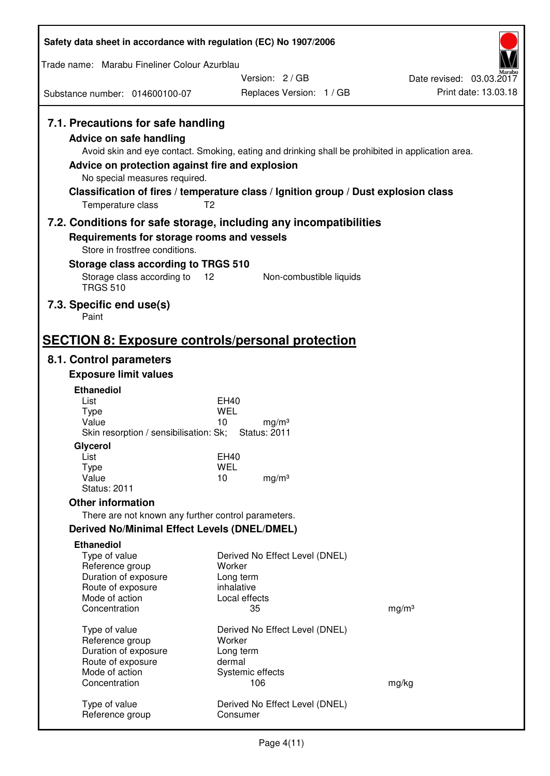| Safety data sheet in accordance with regulation (EC) No 1907/2006                                                                                                      |                                                                                                                                                                                                            |                          |
|------------------------------------------------------------------------------------------------------------------------------------------------------------------------|------------------------------------------------------------------------------------------------------------------------------------------------------------------------------------------------------------|--------------------------|
| Trade name: Marabu Fineliner Colour Azurblau                                                                                                                           |                                                                                                                                                                                                            |                          |
|                                                                                                                                                                        | Version: 2/GB                                                                                                                                                                                              | Date revised: 03.03.2017 |
| Substance number: 014600100-07                                                                                                                                         | Replaces Version: 1 / GB                                                                                                                                                                                   | Print date: 13.03.18     |
| 7.1. Precautions for safe handling<br>Advice on safe handling<br>Advice on protection against fire and explosion<br>No special measures required.<br>Temperature class | Avoid skin and eye contact. Smoking, eating and drinking shall be prohibited in application area.<br>Classification of fires / temperature class / Ignition group / Dust explosion class<br>T <sub>2</sub> |                          |
| 7.2. Conditions for safe storage, including any incompatibilities                                                                                                      |                                                                                                                                                                                                            |                          |
| Requirements for storage rooms and vessels<br>Store in frostfree conditions.                                                                                           |                                                                                                                                                                                                            |                          |
| Storage class according to TRGS 510                                                                                                                                    |                                                                                                                                                                                                            |                          |
| Storage class according to<br>12<br><b>TRGS 510</b>                                                                                                                    | Non-combustible liquids                                                                                                                                                                                    |                          |
| 7.3. Specific end use(s)<br>Paint                                                                                                                                      |                                                                                                                                                                                                            |                          |
| <b>SECTION 8: Exposure controls/personal protection</b>                                                                                                                |                                                                                                                                                                                                            |                          |
| 8.1. Control parameters                                                                                                                                                |                                                                                                                                                                                                            |                          |
| <b>Exposure limit values</b>                                                                                                                                           |                                                                                                                                                                                                            |                          |
| <b>Ethanediol</b>                                                                                                                                                      |                                                                                                                                                                                                            |                          |
| List<br><b>Type</b>                                                                                                                                                    | EH40<br>WEL                                                                                                                                                                                                |                          |
| Value                                                                                                                                                                  | 10<br>mg/m <sup>3</sup>                                                                                                                                                                                    |                          |
| Skin resorption / sensibilisation: Sk;<br>Glycerol                                                                                                                     | <b>Status: 2011</b>                                                                                                                                                                                        |                          |
| List                                                                                                                                                                   | EH40                                                                                                                                                                                                       |                          |
| Type<br>Value                                                                                                                                                          | <b>WEL</b><br>10<br>mg/m <sup>3</sup>                                                                                                                                                                      |                          |
| <b>Status: 2011</b>                                                                                                                                                    |                                                                                                                                                                                                            |                          |
| <b>Other information</b>                                                                                                                                               |                                                                                                                                                                                                            |                          |
| There are not known any further control parameters.                                                                                                                    |                                                                                                                                                                                                            |                          |
| <b>Derived No/Minimal Effect Levels (DNEL/DMEL)</b>                                                                                                                    |                                                                                                                                                                                                            |                          |
| <b>Ethanediol</b><br>Type of value                                                                                                                                     | Derived No Effect Level (DNEL)                                                                                                                                                                             |                          |
| Reference group                                                                                                                                                        | Worker                                                                                                                                                                                                     |                          |
| Duration of exposure                                                                                                                                                   | Long term                                                                                                                                                                                                  |                          |
| Route of exposure<br>Mode of action                                                                                                                                    | inhalative<br>Local effects                                                                                                                                                                                |                          |
| Concentration                                                                                                                                                          | 35                                                                                                                                                                                                         | mg/m <sup>3</sup>        |
| Type of value                                                                                                                                                          | Derived No Effect Level (DNEL)                                                                                                                                                                             |                          |
| Reference group                                                                                                                                                        | Worker                                                                                                                                                                                                     |                          |
| Duration of exposure                                                                                                                                                   | Long term                                                                                                                                                                                                  |                          |
| Route of exposure<br>Mode of action                                                                                                                                    | dermal<br>Systemic effects                                                                                                                                                                                 |                          |
| Concentration                                                                                                                                                          | 106                                                                                                                                                                                                        | mg/kg                    |
| Type of value<br>Reference group                                                                                                                                       | Derived No Effect Level (DNEL)<br>Consumer                                                                                                                                                                 |                          |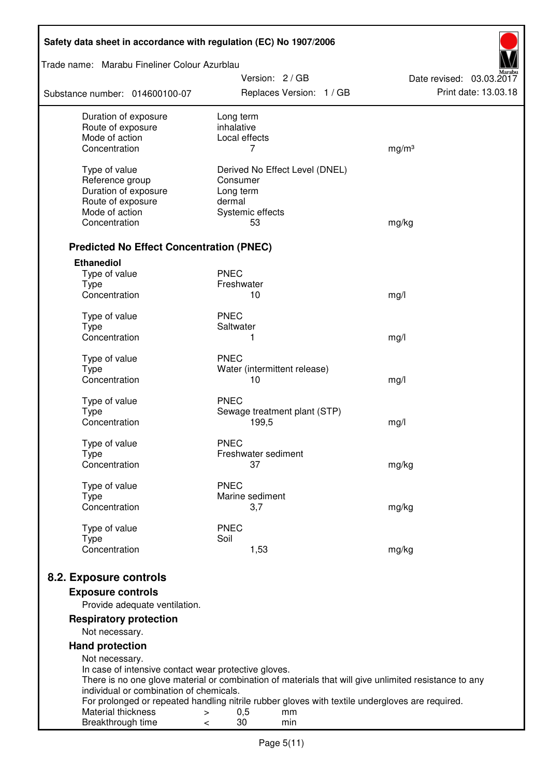| Safety data sheet in accordance with regulation (EC) No 1907/2006                                                                                            |                                                                                                                                                                                                                                                   |                                                  |
|--------------------------------------------------------------------------------------------------------------------------------------------------------------|---------------------------------------------------------------------------------------------------------------------------------------------------------------------------------------------------------------------------------------------------|--------------------------------------------------|
| Trade name: Marabu Fineliner Colour Azurblau                                                                                                                 |                                                                                                                                                                                                                                                   |                                                  |
| Substance number: 014600100-07                                                                                                                               | Version: 2 / GB<br>Replaces Version: 1 / GB                                                                                                                                                                                                       | Date revised: 03.03.2017<br>Print date: 13.03.18 |
| Duration of exposure<br>Route of exposure<br>Mode of action<br>Concentration                                                                                 | Long term<br>inhalative<br>Local effects<br>7                                                                                                                                                                                                     | mg/m <sup>3</sup>                                |
| Type of value<br>Reference group<br>Duration of exposure<br>Route of exposure<br>Mode of action<br>Concentration                                             | Derived No Effect Level (DNEL)<br>Consumer<br>Long term<br>dermal<br>Systemic effects<br>53                                                                                                                                                       | mg/kg                                            |
| <b>Predicted No Effect Concentration (PNEC)</b>                                                                                                              |                                                                                                                                                                                                                                                   |                                                  |
| <b>Ethanediol</b><br>Type of value<br><b>Type</b><br>Concentration                                                                                           | <b>PNEC</b><br>Freshwater<br>10                                                                                                                                                                                                                   | mg/l                                             |
| Type of value<br><b>Type</b><br>Concentration                                                                                                                | <b>PNEC</b><br>Saltwater<br>1                                                                                                                                                                                                                     | mg/l                                             |
| Type of value<br><b>Type</b><br>Concentration                                                                                                                | <b>PNEC</b><br>Water (intermittent release)<br>10                                                                                                                                                                                                 | mg/l                                             |
| Type of value<br><b>Type</b><br>Concentration                                                                                                                | <b>PNEC</b><br>Sewage treatment plant (STP)<br>199,5                                                                                                                                                                                              | mg/l                                             |
| Type of value<br><b>Type</b><br>Concentration                                                                                                                | <b>PNEC</b><br>Freshwater sediment<br>37                                                                                                                                                                                                          | mg/kg                                            |
| Type of value<br><b>Type</b><br>Concentration                                                                                                                | <b>PNEC</b><br>Marine sediment<br>3,7                                                                                                                                                                                                             | mg/kg                                            |
| Type of value<br><b>Type</b><br>Concentration                                                                                                                | <b>PNEC</b><br>Soil<br>1,53                                                                                                                                                                                                                       | mg/kg                                            |
| 8.2. Exposure controls<br><b>Exposure controls</b><br>Provide adequate ventilation.                                                                          |                                                                                                                                                                                                                                                   |                                                  |
| <b>Respiratory protection</b><br>Not necessary.<br><b>Hand protection</b>                                                                                    |                                                                                                                                                                                                                                                   |                                                  |
| Not necessary.<br>In case of intensive contact wear protective gloves.<br>individual or combination of chemicals.<br>Material thickness<br>Breakthrough time | There is no one glove material or combination of materials that will give unlimited resistance to any<br>For prolonged or repeated handling nitrile rubber gloves with textile undergloves are required.<br>0,5<br>$\geq$<br>mm<br>30<br>min<br>< |                                                  |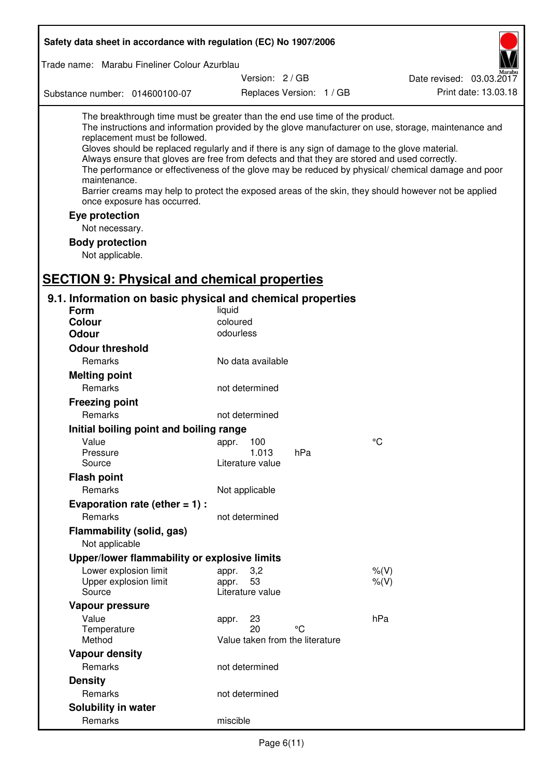| Safety data sheet in accordance with regulation (EC) No 1907/2006                                                                                                                                                                                                                                                                                            |                                 |                          |                                                                                                                                                                                                                                                                                                                    |
|--------------------------------------------------------------------------------------------------------------------------------------------------------------------------------------------------------------------------------------------------------------------------------------------------------------------------------------------------------------|---------------------------------|--------------------------|--------------------------------------------------------------------------------------------------------------------------------------------------------------------------------------------------------------------------------------------------------------------------------------------------------------------|
| Trade name: Marabu Fineliner Colour Azurblau                                                                                                                                                                                                                                                                                                                 |                                 |                          |                                                                                                                                                                                                                                                                                                                    |
|                                                                                                                                                                                                                                                                                                                                                              | Version: 2 / GB                 |                          | Date revised: 03.03.2017                                                                                                                                                                                                                                                                                           |
| Substance number: 014600100-07                                                                                                                                                                                                                                                                                                                               |                                 | Replaces Version: 1 / GB | Print date: 13.03.18                                                                                                                                                                                                                                                                                               |
| The breakthrough time must be greater than the end use time of the product.<br>replacement must be followed.<br>Gloves should be replaced regularly and if there is any sign of damage to the glove material.<br>Always ensure that gloves are free from defects and that they are stored and used correctly.<br>maintenance.<br>once exposure has occurred. |                                 |                          | The instructions and information provided by the glove manufacturer on use, storage, maintenance and<br>The performance or effectiveness of the glove may be reduced by physical/ chemical damage and poor<br>Barrier creams may help to protect the exposed areas of the skin, they should however not be applied |
| Eye protection                                                                                                                                                                                                                                                                                                                                               |                                 |                          |                                                                                                                                                                                                                                                                                                                    |
| Not necessary.                                                                                                                                                                                                                                                                                                                                               |                                 |                          |                                                                                                                                                                                                                                                                                                                    |
| <b>Body protection</b><br>Not applicable.                                                                                                                                                                                                                                                                                                                    |                                 |                          |                                                                                                                                                                                                                                                                                                                    |
| <b>SECTION 9: Physical and chemical properties</b>                                                                                                                                                                                                                                                                                                           |                                 |                          |                                                                                                                                                                                                                                                                                                                    |
| 9.1. Information on basic physical and chemical properties                                                                                                                                                                                                                                                                                                   |                                 |                          |                                                                                                                                                                                                                                                                                                                    |
| <b>Form</b><br><b>Colour</b>                                                                                                                                                                                                                                                                                                                                 | liquid<br>coloured              |                          |                                                                                                                                                                                                                                                                                                                    |
| <b>Odour</b>                                                                                                                                                                                                                                                                                                                                                 | odourless                       |                          |                                                                                                                                                                                                                                                                                                                    |
| <b>Odour threshold</b>                                                                                                                                                                                                                                                                                                                                       |                                 |                          |                                                                                                                                                                                                                                                                                                                    |
| Remarks                                                                                                                                                                                                                                                                                                                                                      | No data available               |                          |                                                                                                                                                                                                                                                                                                                    |
|                                                                                                                                                                                                                                                                                                                                                              |                                 |                          |                                                                                                                                                                                                                                                                                                                    |
| <b>Melting point</b>                                                                                                                                                                                                                                                                                                                                         |                                 |                          |                                                                                                                                                                                                                                                                                                                    |
| Remarks                                                                                                                                                                                                                                                                                                                                                      | not determined                  |                          |                                                                                                                                                                                                                                                                                                                    |
| <b>Freezing point</b>                                                                                                                                                                                                                                                                                                                                        |                                 |                          |                                                                                                                                                                                                                                                                                                                    |
| Remarks                                                                                                                                                                                                                                                                                                                                                      | not determined                  |                          |                                                                                                                                                                                                                                                                                                                    |
| Initial boiling point and boiling range                                                                                                                                                                                                                                                                                                                      |                                 |                          |                                                                                                                                                                                                                                                                                                                    |
| Value<br>Pressure                                                                                                                                                                                                                                                                                                                                            | appr. 100<br>1.013              | hPa                      | $^{\circ}C$                                                                                                                                                                                                                                                                                                        |
| Source                                                                                                                                                                                                                                                                                                                                                       | Literature value                |                          |                                                                                                                                                                                                                                                                                                                    |
| <b>Flash point</b>                                                                                                                                                                                                                                                                                                                                           |                                 |                          |                                                                                                                                                                                                                                                                                                                    |
| Remarks                                                                                                                                                                                                                                                                                                                                                      | Not applicable                  |                          |                                                                                                                                                                                                                                                                                                                    |
| Evaporation rate (ether $= 1$ ) :                                                                                                                                                                                                                                                                                                                            |                                 |                          |                                                                                                                                                                                                                                                                                                                    |
| Remarks                                                                                                                                                                                                                                                                                                                                                      | not determined                  |                          |                                                                                                                                                                                                                                                                                                                    |
| Flammability (solid, gas)<br>Not applicable                                                                                                                                                                                                                                                                                                                  |                                 |                          |                                                                                                                                                                                                                                                                                                                    |
| Upper/lower flammability or explosive limits                                                                                                                                                                                                                                                                                                                 |                                 |                          |                                                                                                                                                                                                                                                                                                                    |
| Lower explosion limit                                                                                                                                                                                                                                                                                                                                        | 3,2<br>appr.                    |                          | $%$ $(V)$                                                                                                                                                                                                                                                                                                          |
| Upper explosion limit<br>Source                                                                                                                                                                                                                                                                                                                              | 53<br>appr.<br>Literature value |                          | $%$ (V)                                                                                                                                                                                                                                                                                                            |
| Vapour pressure                                                                                                                                                                                                                                                                                                                                              |                                 |                          |                                                                                                                                                                                                                                                                                                                    |
| Value                                                                                                                                                                                                                                                                                                                                                        | 23<br>appr.<br>20               | °۲                       | hPa                                                                                                                                                                                                                                                                                                                |
| Temperature<br>Method                                                                                                                                                                                                                                                                                                                                        | Value taken from the literature |                          |                                                                                                                                                                                                                                                                                                                    |
| <b>Vapour density</b>                                                                                                                                                                                                                                                                                                                                        |                                 |                          |                                                                                                                                                                                                                                                                                                                    |
| Remarks                                                                                                                                                                                                                                                                                                                                                      | not determined                  |                          |                                                                                                                                                                                                                                                                                                                    |
| <b>Density</b>                                                                                                                                                                                                                                                                                                                                               |                                 |                          |                                                                                                                                                                                                                                                                                                                    |
| Remarks                                                                                                                                                                                                                                                                                                                                                      | not determined                  |                          |                                                                                                                                                                                                                                                                                                                    |
| Solubility in water                                                                                                                                                                                                                                                                                                                                          |                                 |                          |                                                                                                                                                                                                                                                                                                                    |
| Remarks                                                                                                                                                                                                                                                                                                                                                      | miscible                        |                          |                                                                                                                                                                                                                                                                                                                    |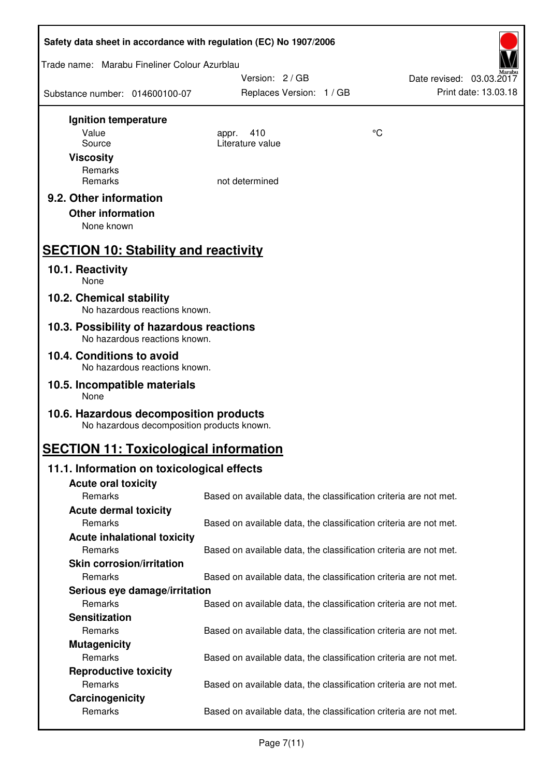|                                              |                                            | Safety data sheet in accordance with regulation (EC) No 1907/2006 |    |                                                  |
|----------------------------------------------|--------------------------------------------|-------------------------------------------------------------------|----|--------------------------------------------------|
| Trade name: Marabu Fineliner Colour Azurblau |                                            | Version: 2/GB                                                     |    |                                                  |
| Substance number: 014600100-07               |                                            | Replaces Version: 1 / GB                                          |    | Date revised: 03.03.2017<br>Print date: 13.03.18 |
| Ignition temperature                         |                                            |                                                                   |    |                                                  |
| Value                                        |                                            | 410<br>appr.                                                      | °C |                                                  |
| Source                                       |                                            | Literature value                                                  |    |                                                  |
| <b>Viscosity</b>                             |                                            |                                                                   |    |                                                  |
| Remarks                                      |                                            |                                                                   |    |                                                  |
| Remarks                                      |                                            | not determined                                                    |    |                                                  |
| 9.2. Other information                       |                                            |                                                                   |    |                                                  |
| <b>Other information</b>                     |                                            |                                                                   |    |                                                  |
| None known                                   |                                            |                                                                   |    |                                                  |
| <b>SECTION 10: Stability and reactivity</b>  |                                            |                                                                   |    |                                                  |
| 10.1. Reactivity<br>None                     |                                            |                                                                   |    |                                                  |
| 10.2. Chemical stability                     | No hazardous reactions known.              |                                                                   |    |                                                  |
| 10.3. Possibility of hazardous reactions     | No hazardous reactions known.              |                                                                   |    |                                                  |
| 10.4. Conditions to avoid                    |                                            |                                                                   |    |                                                  |
|                                              | No hazardous reactions known.              |                                                                   |    |                                                  |
| 10.5. Incompatible materials<br>None         |                                            |                                                                   |    |                                                  |
| 10.6. Hazardous decomposition products       | No hazardous decomposition products known. |                                                                   |    |                                                  |
| <b>SECTION 11: Toxicological information</b> |                                            |                                                                   |    |                                                  |
| 11.1. Information on toxicological effects   |                                            |                                                                   |    |                                                  |
| <b>Acute oral toxicity</b>                   |                                            |                                                                   |    |                                                  |
| Remarks                                      |                                            | Based on available data, the classification criteria are not met. |    |                                                  |
| <b>Acute dermal toxicity</b>                 |                                            |                                                                   |    |                                                  |
| Remarks                                      |                                            | Based on available data, the classification criteria are not met. |    |                                                  |
|                                              | <b>Acute inhalational toxicity</b>         |                                                                   |    |                                                  |
| Remarks                                      |                                            | Based on available data, the classification criteria are not met. |    |                                                  |
| <b>Skin corrosion/irritation</b>             |                                            |                                                                   |    |                                                  |
| Remarks                                      |                                            | Based on available data, the classification criteria are not met. |    |                                                  |
|                                              | Serious eye damage/irritation              |                                                                   |    |                                                  |
| Remarks                                      |                                            | Based on available data, the classification criteria are not met. |    |                                                  |
| <b>Sensitization</b>                         |                                            |                                                                   |    |                                                  |
| Remarks                                      |                                            | Based on available data, the classification criteria are not met. |    |                                                  |
| <b>Mutagenicity</b>                          |                                            |                                                                   |    |                                                  |
| Remarks                                      |                                            | Based on available data, the classification criteria are not met. |    |                                                  |
| <b>Reproductive toxicity</b>                 |                                            |                                                                   |    |                                                  |
| Remarks                                      |                                            | Based on available data, the classification criteria are not met. |    |                                                  |
| Carcinogenicity                              |                                            |                                                                   |    |                                                  |
| Remarks                                      |                                            | Based on available data, the classification criteria are not met. |    |                                                  |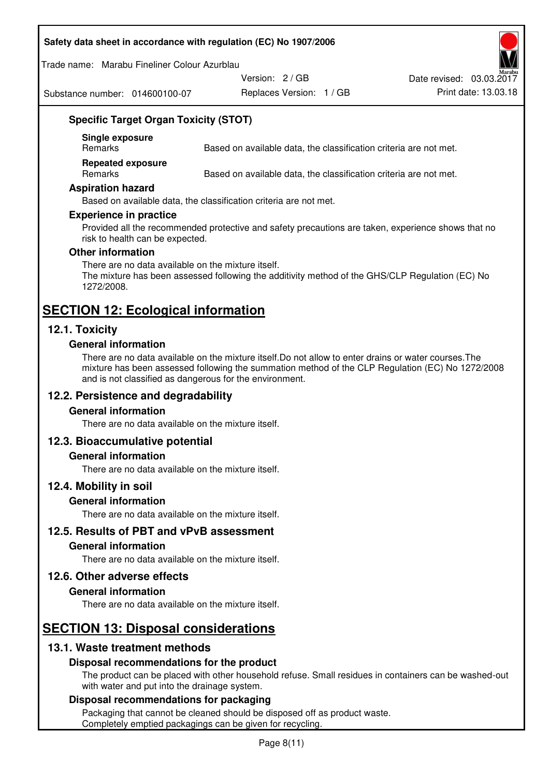#### **Safety data sheet in accordance with regulation (EC) No 1907/2006**

Trade name: Marabu Fineliner Colour Azurblau

Substance number: 014600100-07

Version: 2 / GB

Replaces Version: 1 / GB Print date: 13.03.18 Date revised: 03.03.2017

**Specific Target Organ Toxicity (STOT)** 

**Single exposure** 

Based on available data, the classification criteria are not met.

**Repeated exposure** 

Remarks Based on available data, the classification criteria are not met.

#### **Aspiration hazard**

Based on available data, the classification criteria are not met.

#### **Experience in practice**

Provided all the recommended protective and safety precautions are taken, experience shows that no risk to health can be expected.

#### **Other information**

There are no data available on the mixture itself. The mixture has been assessed following the additivity method of the GHS/CLP Regulation (EC) No 1272/2008.

# **SECTION 12: Ecological information**

# **12.1. Toxicity**

### **General information**

There are no data available on the mixture itself.Do not allow to enter drains or water courses.The mixture has been assessed following the summation method of the CLP Regulation (EC) No 1272/2008 and is not classified as dangerous for the environment.

# **12.2. Persistence and degradability**

#### **General information**

There are no data available on the mixture itself.

# **12.3. Bioaccumulative potential**

#### **General information**

There are no data available on the mixture itself.

#### **12.4. Mobility in soil**

#### **General information**

There are no data available on the mixture itself.

**12.5. Results of PBT and vPvB assessment** 

#### **General information**

There are no data available on the mixture itself.

#### **12.6. Other adverse effects**

#### **General information**

There are no data available on the mixture itself.

# **SECTION 13: Disposal considerations**

# **13.1. Waste treatment methods**

#### **Disposal recommendations for the product**

The product can be placed with other household refuse. Small residues in containers can be washed-out with water and put into the drainage system.

#### **Disposal recommendations for packaging**

Packaging that cannot be cleaned should be disposed off as product waste. Completely emptied packagings can be given for recycling.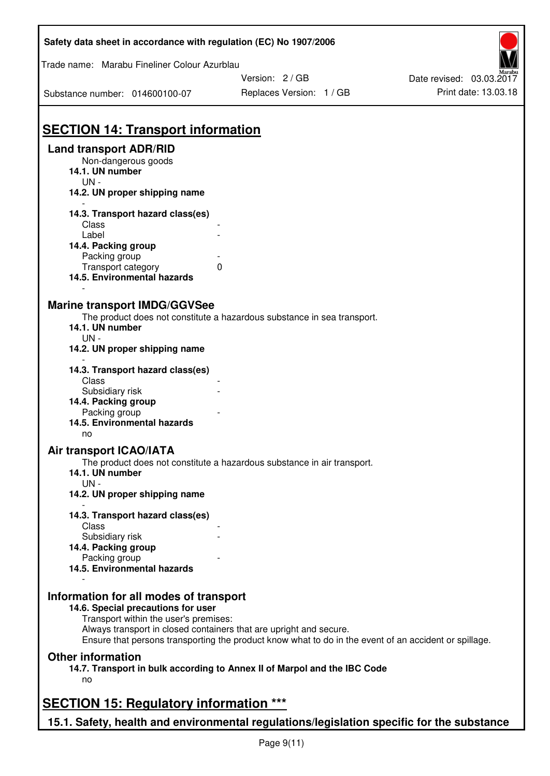| Safety data sheet in accordance with regulation (EC) No 1907/2006                          |                                                                                                       |                                                  |
|--------------------------------------------------------------------------------------------|-------------------------------------------------------------------------------------------------------|--------------------------------------------------|
| Trade name: Marabu Fineliner Colour Azurblau                                               |                                                                                                       |                                                  |
|                                                                                            | Version: 2 / GB                                                                                       | Date revised: 03.03.2017<br>Print date: 13.03.18 |
| Substance number: 014600100-07                                                             | Replaces Version: 1 / GB                                                                              |                                                  |
| <b>SECTION 14: Transport information</b>                                                   |                                                                                                       |                                                  |
| <b>Land transport ADR/RID</b>                                                              |                                                                                                       |                                                  |
| Non-dangerous goods<br>14.1. UN number<br>$UN -$                                           |                                                                                                       |                                                  |
| 14.2. UN proper shipping name                                                              |                                                                                                       |                                                  |
| 14.3. Transport hazard class(es)                                                           |                                                                                                       |                                                  |
| Class                                                                                      |                                                                                                       |                                                  |
| Label<br>14.4. Packing group                                                               |                                                                                                       |                                                  |
| Packing group                                                                              |                                                                                                       |                                                  |
| Transport category<br>$\Omega$<br>14.5. Environmental hazards                              |                                                                                                       |                                                  |
|                                                                                            |                                                                                                       |                                                  |
| <b>Marine transport IMDG/GGVSee</b>                                                        |                                                                                                       |                                                  |
| 14.1. UN number                                                                            | The product does not constitute a hazardous substance in sea transport.                               |                                                  |
| $UN -$                                                                                     |                                                                                                       |                                                  |
| 14.2. UN proper shipping name                                                              |                                                                                                       |                                                  |
| 14.3. Transport hazard class(es)                                                           |                                                                                                       |                                                  |
| Class<br>Subsidiary risk                                                                   |                                                                                                       |                                                  |
| 14.4. Packing group                                                                        |                                                                                                       |                                                  |
| Packing group                                                                              |                                                                                                       |                                                  |
| 14.5. Environmental hazards<br>no                                                          |                                                                                                       |                                                  |
| Air transport ICAO/IATA                                                                    |                                                                                                       |                                                  |
| The product does not constitute a hazardous substance in air transport.<br>14.1. UN number |                                                                                                       |                                                  |
| $UN -$<br>14.2. UN proper shipping name                                                    |                                                                                                       |                                                  |
|                                                                                            |                                                                                                       |                                                  |
| 14.3. Transport hazard class(es)                                                           |                                                                                                       |                                                  |
| Class<br>Subsidiary risk                                                                   |                                                                                                       |                                                  |
| 14.4. Packing group                                                                        |                                                                                                       |                                                  |
| Packing group                                                                              |                                                                                                       |                                                  |
| 14.5. Environmental hazards                                                                |                                                                                                       |                                                  |
| Information for all modes of transport                                                     |                                                                                                       |                                                  |
| 14.6. Special precautions for user                                                         |                                                                                                       |                                                  |
| Transport within the user's premises:                                                      |                                                                                                       |                                                  |
| Always transport in closed containers that are upright and secure.                         | Ensure that persons transporting the product know what to do in the event of an accident or spillage. |                                                  |
| <b>Other information</b>                                                                   |                                                                                                       |                                                  |
| 14.7. Transport in bulk according to Annex II of Marpol and the IBC Code                   |                                                                                                       |                                                  |
| no                                                                                         |                                                                                                       |                                                  |
| <b>SECTION 15: Regulatory information ***</b>                                              |                                                                                                       |                                                  |
| 15.1. Safety, health and environmental regulations/legislation specific for the substance  |                                                                                                       |                                                  |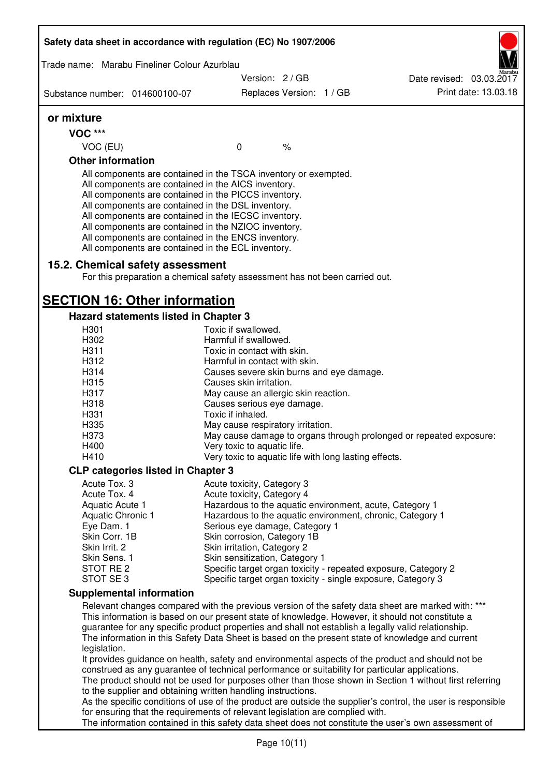| Safety data sheet in accordance with regulation (EC) No 1907/2006                                                                                                                                                                                                                                                                                                                              |                                                                                                                                                                                       |                          |  |  |
|------------------------------------------------------------------------------------------------------------------------------------------------------------------------------------------------------------------------------------------------------------------------------------------------------------------------------------------------------------------------------------------------|---------------------------------------------------------------------------------------------------------------------------------------------------------------------------------------|--------------------------|--|--|
| Trade name: Marabu Fineliner Colour Azurblau                                                                                                                                                                                                                                                                                                                                                   |                                                                                                                                                                                       |                          |  |  |
|                                                                                                                                                                                                                                                                                                                                                                                                | Version: 2 / GB                                                                                                                                                                       | Date revised: 03.03.2017 |  |  |
| Substance number: 014600100-07                                                                                                                                                                                                                                                                                                                                                                 | Replaces Version: 1 / GB                                                                                                                                                              | Print date: 13.03.18     |  |  |
| or mixture                                                                                                                                                                                                                                                                                                                                                                                     |                                                                                                                                                                                       |                          |  |  |
| <b>VOC ***</b>                                                                                                                                                                                                                                                                                                                                                                                 |                                                                                                                                                                                       |                          |  |  |
| VOC (EU)                                                                                                                                                                                                                                                                                                                                                                                       | $\%$<br>$\mathbf 0$                                                                                                                                                                   |                          |  |  |
| <b>Other information</b>                                                                                                                                                                                                                                                                                                                                                                       |                                                                                                                                                                                       |                          |  |  |
| All components are contained in the AICS inventory.<br>All components are contained in the PICCS inventory.<br>All components are contained in the DSL inventory.<br>All components are contained in the IECSC inventory.<br>All components are contained in the NZIOC inventory.<br>All components are contained in the ENCS inventory.<br>All components are contained in the ECL inventory. | All components are contained in the TSCA inventory or exempted.                                                                                                                       |                          |  |  |
| 15.2. Chemical safety assessment                                                                                                                                                                                                                                                                                                                                                               | For this preparation a chemical safety assessment has not been carried out.                                                                                                           |                          |  |  |
| <b>SECTION 16: Other information</b>                                                                                                                                                                                                                                                                                                                                                           |                                                                                                                                                                                       |                          |  |  |
| <b>Hazard statements listed in Chapter 3</b>                                                                                                                                                                                                                                                                                                                                                   |                                                                                                                                                                                       |                          |  |  |
| H301                                                                                                                                                                                                                                                                                                                                                                                           | Toxic if swallowed.                                                                                                                                                                   |                          |  |  |
| H302<br>H311                                                                                                                                                                                                                                                                                                                                                                                   | Harmful if swallowed.<br>Toxic in contact with skin.                                                                                                                                  |                          |  |  |
| H312                                                                                                                                                                                                                                                                                                                                                                                           | Harmful in contact with skin.                                                                                                                                                         |                          |  |  |
| H314                                                                                                                                                                                                                                                                                                                                                                                           | Causes severe skin burns and eye damage.                                                                                                                                              |                          |  |  |
| H315                                                                                                                                                                                                                                                                                                                                                                                           | Causes skin irritation.                                                                                                                                                               |                          |  |  |
| H317                                                                                                                                                                                                                                                                                                                                                                                           | May cause an allergic skin reaction.                                                                                                                                                  |                          |  |  |
| H318                                                                                                                                                                                                                                                                                                                                                                                           | Causes serious eye damage.                                                                                                                                                            |                          |  |  |
| H331                                                                                                                                                                                                                                                                                                                                                                                           | Toxic if inhaled.                                                                                                                                                                     |                          |  |  |
| H335                                                                                                                                                                                                                                                                                                                                                                                           | May cause respiratory irritation.                                                                                                                                                     |                          |  |  |
| H373                                                                                                                                                                                                                                                                                                                                                                                           | May cause damage to organs through prolonged or repeated exposure:                                                                                                                    |                          |  |  |
| H400                                                                                                                                                                                                                                                                                                                                                                                           | Very toxic to aquatic life.                                                                                                                                                           |                          |  |  |
| H410                                                                                                                                                                                                                                                                                                                                                                                           | Very toxic to aquatic life with long lasting effects.                                                                                                                                 |                          |  |  |
| <b>CLP categories listed in Chapter 3</b>                                                                                                                                                                                                                                                                                                                                                      |                                                                                                                                                                                       |                          |  |  |
| Acute Tox. 3                                                                                                                                                                                                                                                                                                                                                                                   | Acute toxicity, Category 3                                                                                                                                                            |                          |  |  |
| Acute Tox. 4                                                                                                                                                                                                                                                                                                                                                                                   | Acute toxicity, Category 4                                                                                                                                                            |                          |  |  |
| Aquatic Acute 1                                                                                                                                                                                                                                                                                                                                                                                | Hazardous to the aquatic environment, acute, Category 1                                                                                                                               |                          |  |  |
| Aquatic Chronic 1                                                                                                                                                                                                                                                                                                                                                                              | Hazardous to the aquatic environment, chronic, Category 1                                                                                                                             |                          |  |  |
| Eye Dam. 1                                                                                                                                                                                                                                                                                                                                                                                     | Serious eye damage, Category 1                                                                                                                                                        |                          |  |  |
| Skin Corr. 1B                                                                                                                                                                                                                                                                                                                                                                                  | Skin corrosion, Category 1B                                                                                                                                                           |                          |  |  |
| Skin Irrit. 2                                                                                                                                                                                                                                                                                                                                                                                  | Skin irritation, Category 2                                                                                                                                                           |                          |  |  |
| Skin Sens. 1<br>STOT RE 2                                                                                                                                                                                                                                                                                                                                                                      | Skin sensitization, Category 1<br>Specific target organ toxicity - repeated exposure, Category 2                                                                                      |                          |  |  |
| STOT SE3                                                                                                                                                                                                                                                                                                                                                                                       | Specific target organ toxicity - single exposure, Category 3                                                                                                                          |                          |  |  |
| <b>Supplemental information</b>                                                                                                                                                                                                                                                                                                                                                                |                                                                                                                                                                                       |                          |  |  |
|                                                                                                                                                                                                                                                                                                                                                                                                | Relevant changes compared with the previous version of the safety data sheet are marked with: ***                                                                                     |                          |  |  |
|                                                                                                                                                                                                                                                                                                                                                                                                | This information is based on our present state of knowledge. However, it should not constitute a                                                                                      |                          |  |  |
|                                                                                                                                                                                                                                                                                                                                                                                                | guarantee for any specific product properties and shall not establish a legally valid relationship.                                                                                   |                          |  |  |
| legislation.                                                                                                                                                                                                                                                                                                                                                                                   | The information in this Safety Data Sheet is based on the present state of knowledge and current                                                                                      |                          |  |  |
|                                                                                                                                                                                                                                                                                                                                                                                                | It provides guidance on health, safety and environmental aspects of the product and should not be                                                                                     |                          |  |  |
|                                                                                                                                                                                                                                                                                                                                                                                                | construed as any guarantee of technical performance or suitability for particular applications.                                                                                       |                          |  |  |
|                                                                                                                                                                                                                                                                                                                                                                                                | The product should not be used for purposes other than those shown in Section 1 without first referring                                                                               |                          |  |  |
|                                                                                                                                                                                                                                                                                                                                                                                                | to the supplier and obtaining written handling instructions.                                                                                                                          |                          |  |  |
|                                                                                                                                                                                                                                                                                                                                                                                                | As the specific conditions of use of the product are outside the supplier's control, the user is responsible                                                                          |                          |  |  |
|                                                                                                                                                                                                                                                                                                                                                                                                | for ensuring that the requirements of relevant legislation are complied with.<br>The information contained in this safety data sheet does not constitute the user's own assessment of |                          |  |  |